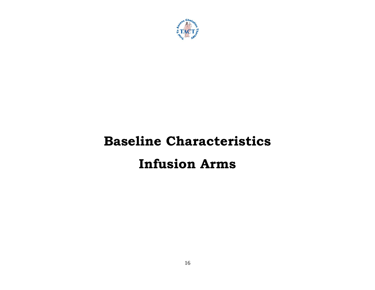

# **Baseline Characteristics Infusion Arms**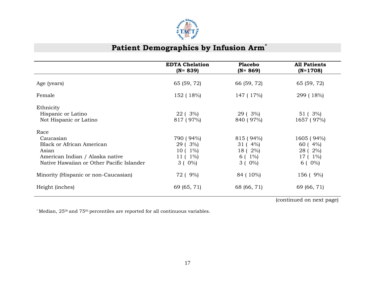

# Patient Demographics by Infusion Arm<sup>\*</sup>

|                                                                                                                                                | <b>EDTA Chelation</b><br>$(N = 839)$                       | <b>Placebo</b><br>$(N = 869)$                              | <b>All Patients</b><br>$(N=1708)$                       |
|------------------------------------------------------------------------------------------------------------------------------------------------|------------------------------------------------------------|------------------------------------------------------------|---------------------------------------------------------|
| Age (years)                                                                                                                                    | 65 (59, 72)                                                | 66 (59, 72)                                                | 65 (59, 72)                                             |
| Female                                                                                                                                         | 152 (18%)                                                  | 147 (17%)                                                  | 299 (18%)                                               |
| Ethnicity<br>Hispanic or Latino<br>Not Hispanic or Latino                                                                                      | 22 ( 3%)<br>817 (97%)                                      | 29 ( 3%)<br>840 (97%)                                      | 51 (3%)<br>1657 (97%)                                   |
| Race<br>Caucasian<br><b>Black or African American</b><br>Asian<br>American Indian / Alaska native<br>Native Hawaiian or Other Pacific Islander | 790 (94%)<br>29 (3%)<br>$10(1\%)$<br>$11(1\%)$<br>$3(0\%)$ | 815 (94%)<br>$31(4\%)$<br>18 ( 2%)<br>$6(1\%)$<br>$3(0\%)$ | 1605 (94%)<br>60(4%)<br>28 ( 2%)<br>17 (1%)<br>$6(0\%)$ |
| Minority (Hispanic or non-Caucasian)                                                                                                           | 72 ( 9%)                                                   | 84 (10%)                                                   | 156 (9%)                                                |
| Height (inches)                                                                                                                                | 69 (65, 71)                                                | 68 (66, 71)                                                | 69 (66, 71)                                             |

(continued on next page)

\* Median, 25th and 75th percentiles are reported for all continuous variables.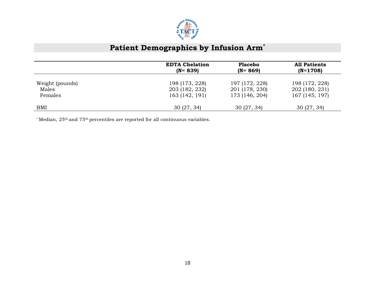

# Patient Demographics by Infusion Arm<sup>\*</sup>

|                 | <b>EDTA Chelation</b><br>$(N = 839)$ | <b>Placebo</b><br>$(N = 869)$ | <b>All Patients</b><br>$(N=1708)$ |
|-----------------|--------------------------------------|-------------------------------|-----------------------------------|
| Weight (pounds) | 198 (173, 228)                       | 197 (172, 228)                | 198 (172, 228)                    |
| Males           | 203 (182, 232)                       | 201 (178, 230)                | 202 (180, 231)                    |
| Females         | 163 (142, 191)                       | 173 (146, 204)                | 167 (145, 197)                    |
| BMI             | 30(27, 34)                           | 30(27, 34)                    | 30(27, 34)                        |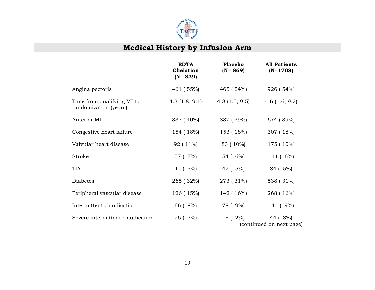

# **Medical History by Infusion Arm**

|                                                     | <b>EDTA</b><br><b>Chelation</b><br>$(N = 839)$ | <b>Placebo</b><br>$(N = 869)$ | <b>All Patients</b><br>$(N=1708)$      |
|-----------------------------------------------------|------------------------------------------------|-------------------------------|----------------------------------------|
| Angina pectoris                                     | 461 (55%)                                      | 465 (54%)                     | 926 (54%)                              |
| Time from qualifying MI to<br>randomization (years) | 4.3(1.8, 9.1)                                  | 4.8(1.5, 9.5)                 | 4.6 $(1.6, 9.2)$                       |
| Anterior MI                                         | 337 (40%)                                      | 337 (39%)                     | 674 (39%)                              |
| Congestive heart failure                            | 154 (18%)                                      | 153 (18%)                     | 307 (18%)                              |
| Valvular heart disease                              | 92 (11%)                                       | 83 (10%)                      | 175 (10%)                              |
| Stroke                                              | 57 (7%)                                        | 54 (6%)                       | 111(6%)                                |
| <b>TIA</b>                                          | 42 (5%)                                        | 42 (5%)                       | 84 (5%)                                |
| <b>Diabetes</b>                                     | 265 (32%)                                      | 273 (31%)                     | 538 (31%)                              |
| Peripheral vascular disease                         | 126 (15%)                                      | 142 (16%)                     | 268 (16%)                              |
| Intermittent claudication                           | 66 (8%)                                        | 78 ( 9%)                      | 144 ( 9%)                              |
| Severe intermittent claudication                    | 3%<br>26 (                                     | $2\%$<br>18 (                 | 3%<br>44 (<br>(continued on next page) |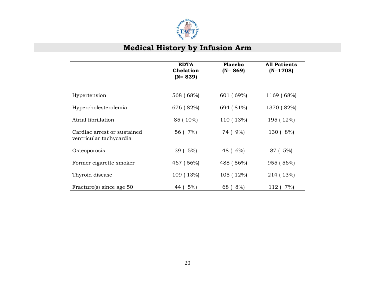

# **Medical History by Infusion Arm**

|                                                        | <b>EDTA</b><br><b>Chelation</b><br>$(N = 839)$ | <b>Placebo</b><br>$(N = 869)$ | <b>All Patients</b><br>$(N=1708)$ |
|--------------------------------------------------------|------------------------------------------------|-------------------------------|-----------------------------------|
|                                                        |                                                |                               |                                   |
| Hypertension                                           | 568 (68%)                                      | 601 (69%)                     | 1169 (68%)                        |
| Hypercholesterolemia                                   | 676 (82%)                                      | 694 (81%)                     | 1370 (82%)                        |
| Atrial fibrillation                                    | 85 (10%)                                       | 110 (13%)                     | 195 (12%)                         |
| Cardiac arrest or sustained<br>ventricular tachycardia | 56 (7%)                                        | 74 ( 9%)                      | 130 (8%)                          |
| Osteoporosis                                           | 39 ( 5%)                                       | 48 ( 6%)                      | 87 (5%)                           |
| Former cigarette smoker                                | 467 (56%)                                      | 488 (56%)                     | 955 (56%)                         |
| Thyroid disease                                        | 109 (13%)                                      | 105 (12%)                     | 214 (13%)                         |
| Fracture(s) since age 50                               | 5%<br>44                                       | 8%<br>68                      | 7%<br>112 (                       |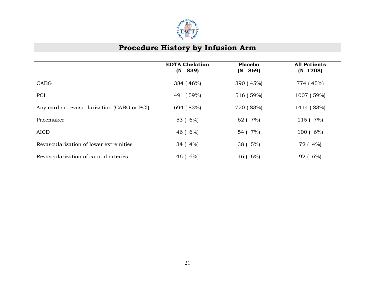

#### **Procedure History by Infusion Arm**

|                                             | <b>EDTA Chelation</b><br>$(N = 839)$ | <b>Placebo</b><br>$(N = 869)$ | <b>All Patients</b><br>$(N=1708)$ |
|---------------------------------------------|--------------------------------------|-------------------------------|-----------------------------------|
| <b>CABG</b>                                 | 384 (46%)                            | 390 (45%)                     | 774 (45%)                         |
| PCI                                         | 491 (59%)                            | 516 (59%)                     | 1007 (59%)                        |
| Any cardiac revascularization (CABG or PCI) | 694 (83%)                            | 720 (83%)                     | 1414 (83%)                        |
| Pacemaker                                   | 53 ( 6%)                             | 62 (7%)                       | 115 ( 7%)                         |
| <b>AICD</b>                                 | $46(6\%)$                            | 54 ( 7%)                      | 100 (6%)                          |
| Revascularization of lower extremities      | $34(4\%)$                            | 38 ( 5%)                      | 72 (4%)                           |
| Revascularization of carotid arteries       | $6\%$<br>46 (                        | 46 ( $6\%$ )                  | 92 (6%)                           |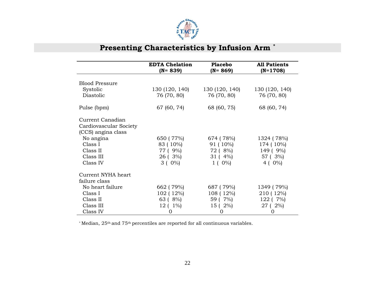

# **Presenting Characteristics by Infusion Arm \***

|                                                                  | <b>EDTA Chelation</b><br>$(N = 839)$ | <b>Placebo</b><br>$(N = 869)$ | <b>All Patients</b><br>$(N=1708)$ |
|------------------------------------------------------------------|--------------------------------------|-------------------------------|-----------------------------------|
| <b>Blood Pressure</b>                                            |                                      |                               |                                   |
| Systolic                                                         | 130 (120, 140)                       | 130 (120, 140)                | 130 (120, 140)                    |
| Diastolic                                                        | 76 (70, 80)                          | 76 (70, 80)                   | 76 (70, 80)                       |
| Pulse (bpm)                                                      | 67 (60, 74)                          | 68 (60, 75)                   | 68 (60, 74)                       |
| Current Canadian<br>Cardiovascular Society<br>(CCS) angina class |                                      |                               |                                   |
| No angina                                                        | 650 (77%)                            | 674 (78%)                     | 1324 (78%)                        |
| Class I                                                          | 83 (10%)                             | 91 ( 10%)                     | 174 (10%)                         |
| Class II                                                         | 77 (9%)                              | 72 (8%)                       | 149 (9%)                          |
| Class III                                                        | 26 (3%)                              | $31(4\%)$                     | 57 (3%)                           |
| Class IV                                                         | $3(0\%)$                             | $1(0\%)$                      | 4 ( $0\%$ )                       |
| Current NYHA heart                                               |                                      |                               |                                   |
| failure class                                                    |                                      |                               |                                   |
| No heart failure                                                 | 662 (79%)                            | 687 (79%)                     | 1349 (79%)                        |
| Class I                                                          | 102 (12%)                            | $108(12\%)$                   | 210 (12%)                         |
| Class II                                                         | 63 (8%)                              | 59 (7%)                       | 122 ( 7%)                         |
| Class III                                                        | $12(1\%)$                            | 15 ( 2%)                      | 27 (2%)                           |
| Class IV                                                         | 0                                    | $\Omega$                      | 0                                 |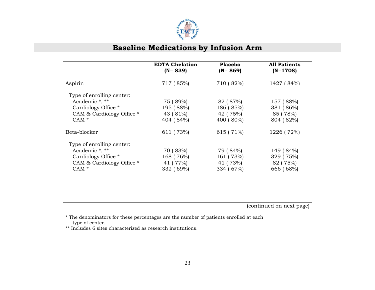

|                                                                                                            | <b>EDTA Chelation</b><br>$(N = 839)$           | <b>Placebo</b><br>$(N = 869)$                  | <b>All Patients</b><br>$(N=1708)$               |
|------------------------------------------------------------------------------------------------------------|------------------------------------------------|------------------------------------------------|-------------------------------------------------|
| Aspirin                                                                                                    | 717 (85%)                                      | 710 (82%)                                      | 1427 (84%)                                      |
| Type of enrolling center:<br>Academic *, **<br>Cardiology Office *<br>CAM & Cardiology Office *<br>$CAM *$ | 75 (89%)<br>195 (88%)<br>43 (81%)<br>404 (84%) | 82 (87%)<br>186 (85%)<br>42 (75%)<br>400 (80%) | 157 (88%)<br>381 (86%)<br>85 (78%)<br>804 (82%) |
| Beta-blocker                                                                                               | 611 (73%)                                      | 615 (71%)                                      | 1226 (72%)                                      |
| Type of enrolling center:<br>Academic *, **<br>Cardiology Office *<br>CAM & Cardiology Office *<br>$CAM *$ | 70 (83%)<br>168 (76%)<br>41 (77%)<br>332 (69%) | 79 (84%)<br>161 (73%)<br>41 (73%)<br>334 (67%) | 149 (84%)<br>329 (75%)<br>82 (75%)<br>666 (68%) |

(continued on next page)

 \* The denominators for these percentages are the number of patients enrolled at each type of center.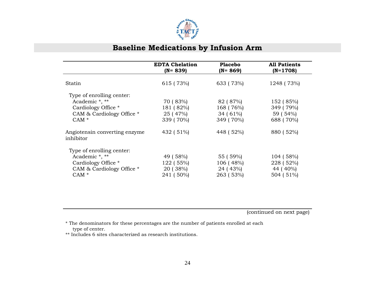

|                                                  | <b>EDTA Chelation</b><br>$(N = 839)$ | <b>Placebo</b><br>$(N = 869)$ | <b>All Patients</b><br>$(N=1708)$ |
|--------------------------------------------------|--------------------------------------|-------------------------------|-----------------------------------|
| Statin                                           | 615 (73%)                            | 633 (73%)                     | 1248 (73%)                        |
| Type of enrolling center:<br>Academic *, **      | 70 (83%)                             | 82 (87%)                      | 152 (85%)                         |
| Cardiology Office *<br>CAM & Cardiology Office * | 181 (82%)<br>25 (47%)                | 168 (76%)<br>$34(61\%)$       | 349 (79%)<br>59 (54%)             |
| CAM $*$<br>Angiotensin converting enzyme         | 339 (70%)<br>432 (51%)               | 349 (70%)<br>448 (52%)        | 688 (70%)<br>880 (52%)            |
| inhibitor                                        |                                      |                               |                                   |
| Type of enrolling center:<br>Academic *, **      | 49 (58%)                             | 55 (59%)                      | 104 (58%)                         |
| Cardiology Office *<br>CAM & Cardiology Office * | 122 (55%)<br>20 (38%)                | 106 (48%)<br>24 (43%)         | 228 (52%)<br>44 (40%)             |
| $CAM*$                                           | 241 (50%)                            | 263 (53%)                     | 504 (51%)                         |

(continued on next page)

 \* The denominators for these percentages are the number of patients enrolled at each type of center.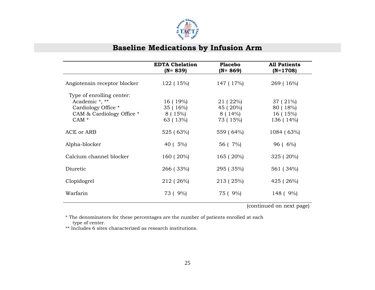

|                                                                                                            | <b>EDTA Chelation</b><br>$(N = 839)$              | <b>Placebo</b><br>$(N = 869)$                 | <b>All Patients</b><br>$(N=1708)$              |
|------------------------------------------------------------------------------------------------------------|---------------------------------------------------|-----------------------------------------------|------------------------------------------------|
| Angiotensin receptor blocker                                                                               | 122 (15%)                                         | 147 (17%)                                     | 269 (16%)                                      |
| Type of enrolling center:<br>Academic *, **<br>Cardiology Office *<br>CAM & Cardiology Office *<br>CAM $*$ | $16(19\%)$<br>35(16%)<br>8 ( $15\%$ )<br>63 (13%) | 21 ( 22%)<br>45 (20%)<br>8 ( 14%)<br>73 (15%) | 37 ( 21%)<br>80 (18%)<br>16 (15%)<br>136 (14%) |
| ACE or ARB                                                                                                 | 525 (63%)                                         | 559 (64%)                                     | 1084 (63%)                                     |
| Alpha-blocker                                                                                              | 40 ( 5%)                                          | 56 (7%)                                       | $96(6\%)$                                      |
| Calcium channel blocker                                                                                    | 160 (20%)                                         | 165 (20%)                                     | 325 (20%)                                      |
| Diuretic                                                                                                   | 266 (33%)                                         | 295 (35%)                                     | 561 (34%)                                      |
| Clopidogrel                                                                                                | 212 (26%)                                         | 213 (25%)                                     | 425 (26%)                                      |
| Warfarin                                                                                                   | 73 ( 9%)                                          | 75 (9%)                                       | 148 ( 9%)                                      |

(continued on next page)

 \* The denominators for these percentages are the number of patients enrolled at each type of center.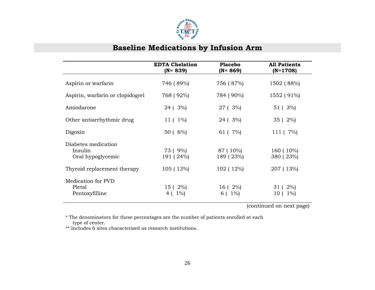

|                                                     | <b>EDTA Chelation</b><br>(N= 839) | <b>Placebo</b><br>(N= 869) | <b>All Patients</b><br>$(N=1708)$ |
|-----------------------------------------------------|-----------------------------------|----------------------------|-----------------------------------|
| Aspirin or warfarin                                 | 746 (89%)                         | 756 (87%)                  | 1502 (88%)                        |
| Aspirin, warfarin or clopidogrel                    | 768 (92%)                         | 784 (90%)                  | 1552 (91%)                        |
| Amiodarone                                          | 24 ( 3%)                          | 27 (3%)                    | 51 (3%)                           |
| Other antiarrhythmic drug                           | $11(1\%)$                         | 24 ( 3%)                   | 35 (2%)                           |
| Digoxin                                             | 50 ( 6%)                          | 61 ( 7%)                   | 111 ( 7%)                         |
| Diabetes medication<br>Insulin<br>Oral hypoglycemic | 73 (9%)<br>191 (24%)              | 87 (10%)<br>189 (23%)      | 160 (10%)<br>380 (23%)            |
| Thyroid replacement therapy                         | 105 (13%)                         | 102 (12%)                  | 207 (13%)                         |
| Medication for PVD<br>Pletal<br>Pentoxyfilline      | 15 ( 2%)<br>$1\%$<br>4            | $16(2\%)$<br>$1\%$<br>6 (  | 31 ( 2%)<br>$1\%$<br>10 (         |

(continued on next page)

\* The denominators for these percentages are the number of patients enrolled at each type of center.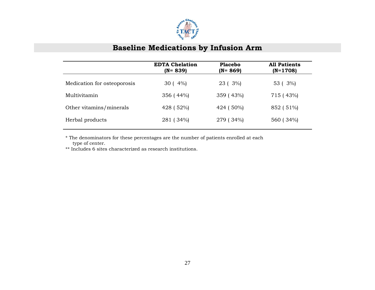

|                             | <b>EDTA Chelation</b><br>$(N = 839)$ | <b>Placebo</b><br>$(N = 869)$ | <b>All Patients</b><br>$(N=1708)$ |
|-----------------------------|--------------------------------------|-------------------------------|-----------------------------------|
| Medication for osteoporosis | $30(4\%)$                            | 23 ( 3%)                      | 53 ( 3%)                          |
| Multivitamin                | 356(44%)                             | 359 (43%)                     | 715 (43%)                         |
| Other vitamins/minerals     | 428 (52%)                            | 424 (50%)                     | 852 (51%)                         |
| Herbal products             | 281 (34%)                            | 279 (34%)                     | 560 (34%)                         |

 \* The denominators for these percentages are the number of patients enrolled at each type of center.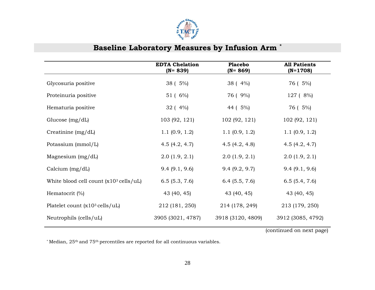

## **Baseline Laboratory Measures by Infusion Arm \***

|                                                       | <b>EDTA Chelation</b><br>$(N = 839)$ | <b>Placebo</b><br>$(N = 869)$ | <b>All Patients</b><br>$(N=1708)$ |
|-------------------------------------------------------|--------------------------------------|-------------------------------|-----------------------------------|
| Glycosuria positive                                   | 38 ( 5%)                             | $38(4\%)$                     | 76 ( 5%)                          |
| Proteinuria positive                                  | 51 ( 6%)                             | 76 ( 9%)                      | 127 (8%)                          |
| Hematuria positive                                    | 32(4%)                               | 44 ( 5%)                      | 76 ( 5%)                          |
| Glucose $(mg/dL)$                                     | 103 (92, 121)                        | 102 (92, 121)                 | 102 (92, 121)                     |
| Creatinine $(mg/dL)$                                  | 1.1(0.9, 1.2)                        | 1.1(0.9, 1.2)                 | 1.1(0.9, 1.2)                     |
| Potassium (mmol/L)                                    | 4.5 $(4.2, 4.7)$                     | 4.5 $(4.2, 4.8)$              | 4.5(4.2, 4.7)                     |
| Magnesium $(mg/dL)$                                   | 2.0(1.9, 2.1)                        | 2.0(1.9, 2.1)                 | 2.0(1.9, 2.1)                     |
| Calcium $(mg/dL)$                                     | 9.4(9.1, 9.6)                        | 9.4(9.2, 9.7)                 | 9.4(9.1, 9.6)                     |
| White blood cell count $(x10^3 \text{ cells/} \mu L)$ | 6.5(5.3, 7.6)                        | $6.4$ (5.5, 7.6)              | 6.5(5.4, 7.6)                     |
| Hematocrit $(\%)$                                     | 43 (40, 45)                          | 43 (40, 45)                   | 43 (40, 45)                       |
| Platelet count $(x10^3 \text{ cells}/uL)$             | 212 (181, 250)                       | 214 (178, 249)                | 213 (179, 250)                    |
| Neutrophils (cells/uL)                                | 3905 (3021, 4787)                    | 3918 (3120, 4809)             | 3912 (3085, 4792)                 |

(continued on next page)

\* Median, 25th and 75th percentiles are reported for all continuous variables.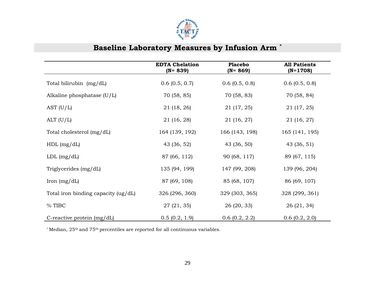

# **Baseline Laboratory Measures by Infusion Arm \***

|                                     | <b>EDTA Chelation</b><br>$(N = 839)$ | <b>Placebo</b><br>$(N = 869)$ | <b>All Patients</b><br>$(N=1708)$ |
|-------------------------------------|--------------------------------------|-------------------------------|-----------------------------------|
| Total bilirubin (mg/dL)             | $0.6$ (0.5, 0.7)                     | $0.6$ (0.5, 0.8)              | $0.6$ (0.5, 0.8)                  |
| Alkaline phosphatase $(U/L)$        | 70 (58, 85)                          | 70 (58, 83)                   | 70 (58, 84)                       |
| AST $(U/L)$                         | 21 (18, 26)                          | 21 (17, 25)                   | 21 (17, 25)                       |
| ALT $(U/L)$                         | 21 (16, 28)                          | 21 (16, 27)                   | 21 (16, 27)                       |
| Total cholesterol (mg/dL)           | 164 (139, 192)                       | 166 (143, 198)                | 165 (141, 195)                    |
| $HDL$ (mg/dL)                       | 43 (36, 52)                          | 43 (36, 50)                   | 43 (36, 51)                       |
| $LDL$ (mg/dL)                       | 87 (66, 112)                         | 90 (68, 117)                  | 89 (67, 115)                      |
| Triglycerides (mg/dL)               | 135 (94, 199)                        | 147 (99, 208)                 | 139 (96, 204)                     |
| Iron $(mg/dL)$                      | 87 (69, 108)                         | 85 (68, 107)                  | 86 (69, 107)                      |
| Total iron binding capacity (ug/dL) | 326 (296, 360)                       | 329 (303, 365)                | 328 (299, 361)                    |
| % TIBC                              | 27(21, 35)                           | 26 (20, 33)                   | 26(21, 34)                        |
| C-reactive protein (mg/dL)          | 0.5(0.2, 1.9)                        | $0.6$ $(0.2, 2.2)$            | 0.6(0.2, 2.0)                     |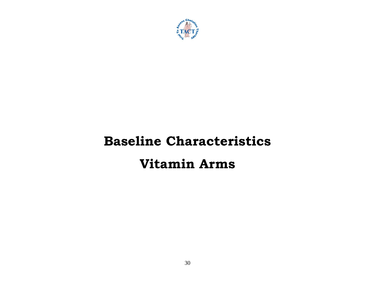

# **Baseline Characteristics Vitamin Arms**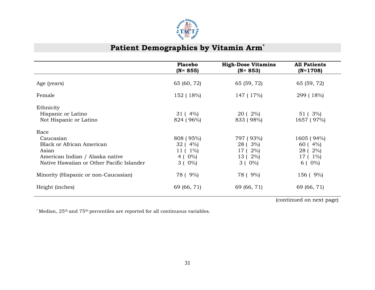

## Patient Demographics by Vitamin Arm<sup>\*</sup>

|                                           | <b>Placebo</b> | <b>High-Dose Vitamins</b> | <b>All Patients</b> |
|-------------------------------------------|----------------|---------------------------|---------------------|
|                                           | $(N = 855)$    | $(N = 853)$               | $(N=1708)$          |
|                                           |                |                           |                     |
|                                           |                |                           |                     |
| Age (years)                               | 65 (60, 72)    | 65 (59, 72)               | 65 (59, 72)         |
|                                           |                |                           |                     |
| Female                                    | 152 (18%)      | 147 (17%)                 | 299 (18%)           |
| Ethnicity                                 |                |                           |                     |
|                                           |                |                           |                     |
| Hispanic or Latino                        | $31(4\%)$      | 20 ( 2%)                  | 51 (3%)             |
| Not Hispanic or Latino                    | 824 (96%)      | 833 (98%)                 | 1657 (97%)          |
| Race                                      |                |                           |                     |
| Caucasian                                 | 808 (95%)      | 797 (93%)                 | 1605 (94%)          |
| <b>Black or African American</b>          | 32(4%)         | 28 ( 3%)                  | 60(4%)              |
|                                           |                |                           |                     |
| Asian                                     | $11(1\%)$      | 17 (2%)                   | 28 ( 2%)            |
| American Indian / Alaska native           | 4 ( $0\%$ )    | 13 ( 2%)                  | 17 (1%)             |
| Native Hawaiian or Other Pacific Islander | $3(0\%)$       | $3(0\%)$                  | $6(0\%)$            |
|                                           |                |                           |                     |
| Minority (Hispanic or non-Caucasian)      | 78 ( 9%)       | 78 (9%)                   | 156 ( 9%)           |
| Height (inches)                           | 69 (66, 71)    | 69 (66, 71)               | 69 (66, 71)         |
|                                           |                |                           |                     |

(continued on next page)

\* Median, 25th and 75th percentiles are reported for all continuous variables.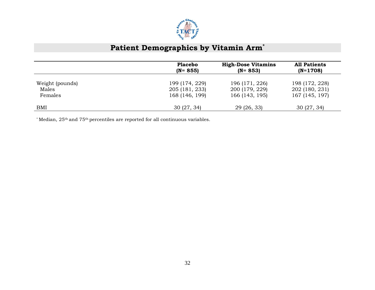

# Patient Demographics by Vitamin Arm<sup>\*</sup>

|                 | <b>Placebo</b> | <b>High-Dose Vitamins</b> | <b>All Patients</b> |
|-----------------|----------------|---------------------------|---------------------|
|                 | $(N = 855)$    | $(N = 853)$               | $(N=1708)$          |
| Weight (pounds) | 199 (174, 229) | 196 (171, 226)            | 198 (172, 228)      |
| Males           | 205 (181, 233) | 200 (179, 229)            | 202 (180, 231)      |
| Females         | 168 (146, 199) | 166 (143, 195)            | 167 (145, 197)      |
| BMI             | 30(27, 34)     | 29 (26, 33)               | 30(27, 34)          |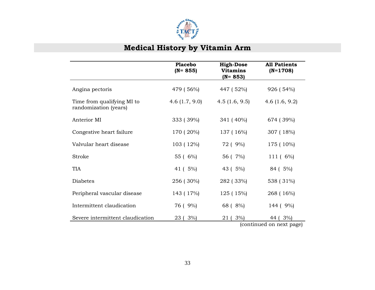

# **Medical History by Vitamin Arm**

|                                                     | <b>Placebo</b><br>$(N = 855)$ | <b>High-Dose</b><br><b>Vitamins</b><br>$(N = 853)$ | <b>All Patients</b><br>$(N=1708)$   |
|-----------------------------------------------------|-------------------------------|----------------------------------------------------|-------------------------------------|
| Angina pectoris                                     | 479 (56%)                     | 447 (52%)                                          | 926 (54%)                           |
| Time from qualifying MI to<br>randomization (years) | 4.6 $(1.7, 9.0)$              | 4.5(1.6, 9.5)                                      | 4.6 $(1.6, 9.2)$                    |
| Anterior MI                                         | 333 (39%)                     | 341 (40%)                                          | 674 (39%)                           |
| Congestive heart failure                            | 170 (20%)                     | 137 (16%)                                          | 307 (18%)                           |
| Valvular heart disease                              | 103 (12%)                     | 72 ( 9%)                                           | 175 (10%)                           |
| <b>Stroke</b>                                       | 55 ( 6%)                      | 56 (7%)                                            | 111 ( 6%)                           |
| <b>TIA</b>                                          | 41 (5%)                       | 43 ( 5%)                                           | 84 (5%)                             |
| <b>Diabetes</b>                                     | 256 (30%)                     | 282 (33%)                                          | 538 (31%)                           |
| Peripheral vascular disease                         | 143 (17%)                     | 125 (15%)                                          | 268 (16%)                           |
| Intermittent claudication                           | 76 ( 9%)                      | 68 (8%)                                            | 144 ( 9%)                           |
| Severe intermittent claudication                    | 3%<br>23(                     | 3%<br>21 (                                         | 44 (3%)<br>(continued on next nore) |

(continued on next page)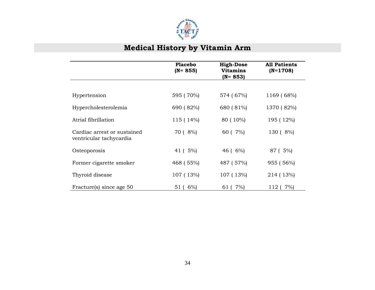

# **Medical History by Vitamin Arm**

|                                                        | <b>Placebo</b><br>$(N = 855)$ | <b>High-Dose</b><br><b>Vitamins</b><br>$(N = 853)$ | <b>All Patients</b><br>$(N=1708)$ |
|--------------------------------------------------------|-------------------------------|----------------------------------------------------|-----------------------------------|
|                                                        |                               |                                                    |                                   |
| Hypertension                                           | 595 (70%)                     | 574 (67%)                                          | 1169 (68%)                        |
| Hypercholesterolemia                                   | 690 (82%)                     | 680 (81%)                                          | 1370 (82%)                        |
| Atrial fibrillation                                    | 115 (14%)                     | 80 (10%)                                           | 195 (12%)                         |
| Cardiac arrest or sustained<br>ventricular tachycardia | 70 ( 8%)                      | 60 (7%)                                            | 130 (8%)                          |
| Osteoporosis                                           | 41 ( 5%)                      | $46(6\%)$                                          | 87 (5%)                           |
| Former cigarette smoker                                | 468 (55%)                     | 487 (57%)                                          | 955 (56%)                         |
| Thyroid disease                                        | 107 (13%)                     | 107 (13%)                                          | 214 (13%)                         |
| Fracture(s) since age 50                               | $6\%$<br>51                   | 7%<br>61                                           | 7%<br>112 (                       |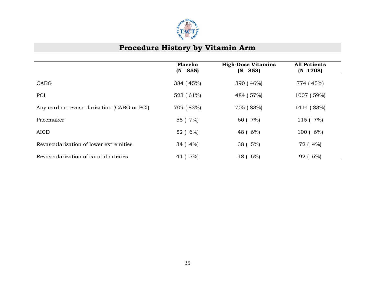

#### **Procedure History by Vitamin Arm**

|                                             | <b>Placebo</b><br>$(N = 855)$ | <b>High-Dose Vitamins</b><br>$(N = 853)$ | <b>All Patients</b><br>$(N=1708)$ |
|---------------------------------------------|-------------------------------|------------------------------------------|-----------------------------------|
| CABG                                        | 384 (45%)                     | 390 (46%)                                | 774 (45%)                         |
| PCI                                         | 523 (61%)                     | 484 (57%)                                | 1007 (59%)                        |
| Any cardiac revascularization (CABG or PCI) | 709 (83%)                     | 705 (83%)                                | 1414 (83%)                        |
| Pacemaker                                   | 55 ( 7%)                      | 60 (7%)                                  | 115 ( 7%)                         |
| <b>AICD</b>                                 | 52 ( 6%)                      | 48 ( 6%)                                 | $100(6\%)$                        |
| Revascularization of lower extremities      | $34(4\%)$                     | 38 ( 5%)                                 | 72 (4%)                           |
| Revascularization of carotid arteries       | $5\%$ )<br>44 <sub>1</sub>    | $6\%$<br>48 (                            | $6\%$<br>92(                      |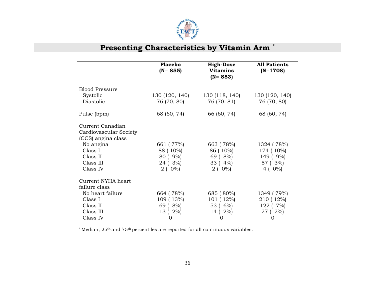

# **Presenting Characteristics by Vitamin Arm \***

|                        | <b>Placebo</b><br>$(N = 855)$ | <b>High-Dose</b><br><b>Vitamins</b><br>$(N = 853)$ | <b>All Patients</b><br>$(N=1708)$ |
|------------------------|-------------------------------|----------------------------------------------------|-----------------------------------|
| <b>Blood Pressure</b>  |                               |                                                    |                                   |
| Systolic               | 130 (120, 140)                | 130 (118, 140)                                     |                                   |
| Diastolic              |                               |                                                    | 130 (120, 140)                    |
|                        | 76 (70, 80)                   | 76 (70, 81)                                        | 76 (70, 80)                       |
| Pulse (bpm)            | 68 (60, 74)                   | 66 (60, 74)                                        | 68 (60, 74)                       |
| Current Canadian       |                               |                                                    |                                   |
| Cardiovascular Society |                               |                                                    |                                   |
| (CCS) angina class     |                               |                                                    |                                   |
| No angina              | 661 (77%)                     | 663 (78%)                                          | 1324 (78%)                        |
| Class I                | 88 ( 10%)                     | 86 (10%)                                           | 174 (10%)                         |
| Class II               | 80 (9%)                       | $69(8\%)$                                          | 149 ( 9%)                         |
| Class III              | 24 (3%)                       | 33 (4%)                                            | 57 (3%)                           |
| Class IV               | $2(0\%)$                      | $2(0\%)$                                           | 4 ( $0\%$ )                       |
| Current NYHA heart     |                               |                                                    |                                   |
| failure class          |                               |                                                    |                                   |
| No heart failure       | 664 (78%)                     | 685 (80%)                                          | 1349 (79%)                        |
| Class I                | 109 (13%)                     | 101(12%)                                           | 210 (12%)                         |
| Class II               | 69 (8%)                       | 53 ( 6%)                                           | 122 ( 7%)                         |
| Class III              | 13 ( 2%)                      | 14 ( 2%)                                           | 27 (2%)                           |
| Class IV               | 0                             | $\overline{0}$                                     | 0                                 |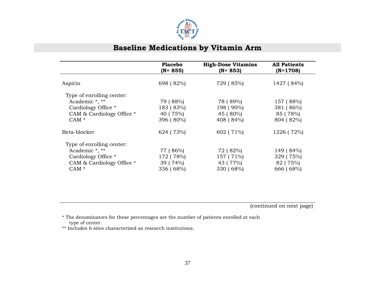

|                                                                                                            | <b>Placebo</b><br>$(N = 855)$                  | <b>High-Dose Vitamins</b><br>$(N = 853)$       | <b>All Patients</b><br>$(N=1708)$               |
|------------------------------------------------------------------------------------------------------------|------------------------------------------------|------------------------------------------------|-------------------------------------------------|
| Aspirin                                                                                                    | 698 (82%)                                      | 729 (85%)                                      | 1427 (84%)                                      |
| Type of enrolling center:<br>Academic *, **<br>Cardiology Office *<br>CAM & Cardiology Office *<br>$CAM*$  | 79 (88%)<br>183 (83%)<br>40 (75%)<br>396 (80%) | 78 (89%)<br>198 (90%)<br>45 (80%)<br>408 (84%) | 157 (88%)<br>381 (86%)<br>85 (78%)<br>804 (82%) |
| Beta-blocker                                                                                               | 624 (73%)                                      | 602 (71%)                                      | 1226 (72%)                                      |
| Type of enrolling center:<br>Academic *, **<br>Cardiology Office *<br>CAM & Cardiology Office *<br>$CAM *$ | 77 (86%)<br>172 (78%)<br>39 (74%)<br>336 (68%) | 72 (82%)<br>157 (71%)<br>43 (77%)<br>330 (68%) | 149 (84%)<br>329 (75%)<br>82 (75%)<br>666 (68%) |

(continued on next page)

 \* The denominators for these percentages are the number of patients enrolled at each type of center.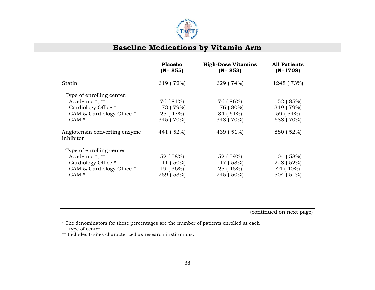

|                                                                                                           | <b>Placebo</b><br>$(N = 855)$                  | <b>High-Dose Vitamins</b><br>$(N = 853)$         | <b>All Patients</b><br>$(N=1708)$               |
|-----------------------------------------------------------------------------------------------------------|------------------------------------------------|--------------------------------------------------|-------------------------------------------------|
| Statin                                                                                                    | 619 (72%)                                      | 629 (74%)                                        | 1248 (73%)                                      |
| Type of enrolling center:<br>Academic *, **<br>Cardiology Office *<br>CAM & Cardiology Office *<br>$CAM*$ | 76 (84%)<br>173 (79%)<br>25 (47%)<br>345 (70%) | 76 (86%)<br>176 (80%)<br>$34(61\%)$<br>343 (70%) | 152 (85%)<br>349 (79%)<br>59 (54%)<br>688 (70%) |
| Angiotensin converting enzyme<br>inhibitor                                                                | 441 (52%)                                      | 439 (51%)                                        | 880 (52%)                                       |
| Type of enrolling center:<br>Academic *, **<br>Cardiology Office *<br>CAM & Cardiology Office *<br>$CAM*$ | 52 (58%)<br>111 (50%)<br>19 (36%)<br>259 (53%) | 52 (59%)<br>117 (53%)<br>25 (45%)<br>245 (50%)   | 104 (58%)<br>228 (52%)<br>44 (40%)<br>504 (51%) |

(continued on next page)

 \* The denominators for these percentages are the number of patients enrolled at each type of center.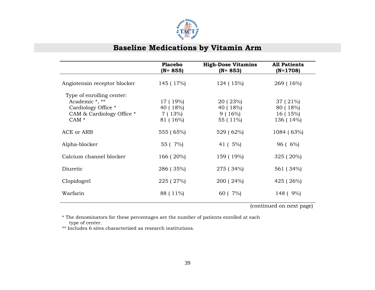

|                                                                                                                     | <b>Placebo</b><br>$(N = 855)$               | <b>High-Dose Vitamins</b><br>$(N = 853)$    | <b>All Patients</b><br>$(N=1708)$              |
|---------------------------------------------------------------------------------------------------------------------|---------------------------------------------|---------------------------------------------|------------------------------------------------|
| Angiotensin receptor blocker                                                                                        | 145 (17%)                                   | 124 (15%)                                   | 269 (16%)                                      |
| Type of enrolling center:<br>Academic *, **<br>Cardiology Office *<br>CAM & Cardiology Office *<br>CAM <sup>*</sup> | 17 (19%)<br>40 (18%)<br>7 (13%)<br>81 (16%) | 20 ( 23%)<br>40 (18%)<br>9(16%)<br>55 (11%) | 37 ( 21%)<br>80 (18%)<br>16 (15%)<br>136 (14%) |
| ACE or ARB                                                                                                          | 555 (65%)                                   | 529 (62%)                                   | 1084 (63%)                                     |
| Alpha-blocker                                                                                                       | 55 ( 7%)                                    | 41 ( 5%)                                    | $96(6\%)$                                      |
| Calcium channel blocker                                                                                             | 166 (20%)                                   | 159 (19%)                                   | $325(20\%)$                                    |
| Diuretic                                                                                                            | 286 (35%)                                   | 275 (34%)                                   | 561 (34%)                                      |
| Clopidogrel                                                                                                         | 225 (27%)                                   | 200 (24%)                                   | 425 (26%)                                      |
| Warfarin                                                                                                            | 88 (11%)                                    | 60 ( 7%)                                    | 148 ( 9%)                                      |

(continued on next page)

 \* The denominators for these percentages are the number of patients enrolled at each type of center.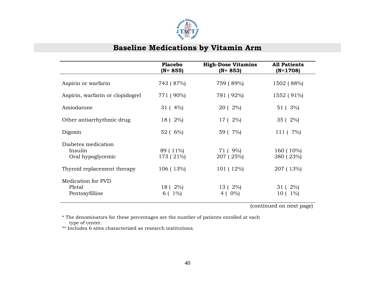

|                                                     | <b>Placebo</b><br>$(N = 855)$ | <b>High-Dose Vitamins</b><br>$(N = 853)$ | <b>All Patients</b><br>$(N=1708)$ |
|-----------------------------------------------------|-------------------------------|------------------------------------------|-----------------------------------|
| Aspirin or warfarin                                 | 743 (87%)                     | 759 (89%)                                | 1502 (88%)                        |
| Aspirin, warfarin or clopidogrel                    | 771 (90%)                     | 781 (92%)                                | 1552 (91%)                        |
| Amiodarone                                          | 31 (4%)                       | 20 (2%)                                  | 51 (3%)                           |
| Other antiarrhythmic drug                           | 18 ( 2%)                      | 17 ( 2%)                                 | 35 (2%)                           |
| Digoxin                                             | 52 ( 6%)                      | 59 ( 7%)                                 | 111 ( 7%)                         |
| Diabetes medication<br>Insulin<br>Oral hypoglycemic | 89 (11%)<br>173 (21%)         | 71 (9%)<br>207 (25%)                     | 160 (10%)<br>380 (23%)            |
| Thyroid replacement therapy                         | 106 (13%)                     | 101 (12%)                                | 207 (13%)                         |
| Medication for PVD<br>Pletal<br>Pentoxyfilline      | 18 ( 2%)<br>$6(1\%)$          | 13 ( 2%)<br>4 ( $0\%$ )                  | 31 ( 2%)<br>$1\%$<br>10 (         |

(continued on next page)

\* The denominators for these percentages are the number of patients enrolled at each type of center.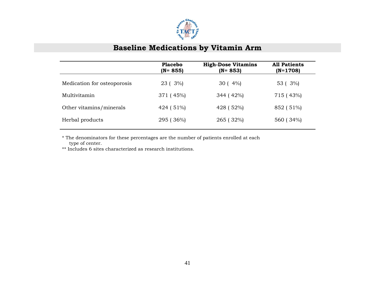

|                             | <b>Placebo</b><br>$(N = 855)$ | <b>High-Dose Vitamins</b><br>$(N = 853)$ | <b>All Patients</b><br>$(N=1708)$ |
|-----------------------------|-------------------------------|------------------------------------------|-----------------------------------|
| Medication for osteoporosis | 23 ( 3%)                      | $30(4\%)$                                | 53 (3%)                           |
| Multivitamin                | 371 (45%)                     | 344 (42%)                                | 715 (43%)                         |
| Other vitamins/minerals     | 424 (51%)                     | 428 (52%)                                | 852 (51%)                         |
| Herbal products             | 295 (36%)                     | 265 (32%)                                | 560 (34%)                         |

 \* The denominators for these percentages are the number of patients enrolled at each type of center.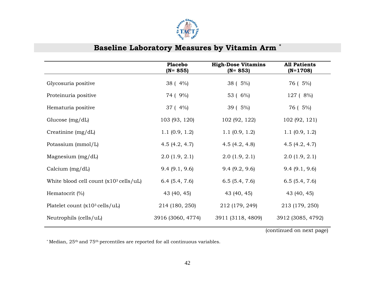

## **Baseline Laboratory Measures by Vitamin Arm \***

|                                                           | <b>Placebo</b><br>$(N = 855)$ | <b>High-Dose Vitamins</b><br>$(N = 853)$ | <b>All Patients</b><br>$(N=1708)$ |
|-----------------------------------------------------------|-------------------------------|------------------------------------------|-----------------------------------|
| Glycosuria positive                                       | 38 (4%)                       | 38 (5%)                                  | 76 ( 5%)                          |
| Proteinuria positive                                      | 74 ( 9%)                      | 53 ( 6%)                                 | 127 (8%)                          |
| Hematuria positive                                        | 37 (4%)                       | 39 (5%)                                  | 76 ( 5%)                          |
| Glucose $(mg/dL)$                                         | 103 (93, 120)                 | 102 (92, 122)                            | 102 (92, 121)                     |
| Creatinine $(mg/dL)$                                      | 1.1(0.9, 1.2)                 | 1.1(0.9, 1.2)                            | 1.1(0.9, 1.2)                     |
| Potassium (mmol/L)                                        | 4.5 $(4.2, 4.7)$              | 4.5 $(4.2, 4.8)$                         | 4.5 $(4.2, 4.7)$                  |
| Magnesium $(mg/dL)$                                       | 2.0(1.9, 2.1)                 | 2.0(1.9, 2.1)                            | 2.0(1.9, 2.1)                     |
| Calcium $(mg/dL)$                                         | 9.4(9.1, 9.6)                 | 9.4(9.2, 9.6)                            | 9.4(9.1, 9.6)                     |
| White blood cell count $(x10^3 \text{ cells/} \text{uL})$ | 6.4(5.4, 7.6)                 | 6.5(5.4, 7.6)                            | 6.5(5.4, 7.6)                     |
| Hematocrit $(\% )$                                        | 43 (40, 45)                   | 43 (40, 45)                              | 43 (40, 45)                       |
| Platelet count $(x10^3 \text{ cells}/uL)$                 | 214 (180, 250)                | 212 (179, 249)                           | 213 (179, 250)                    |
| Neutrophils (cells/uL)                                    | 3916 (3060, 4774)             | 3911 (3118, 4809)                        | 3912 (3085, 4792)                 |

(continued on next page)

\* Median, 25th and 75th percentiles are reported for all continuous variables.